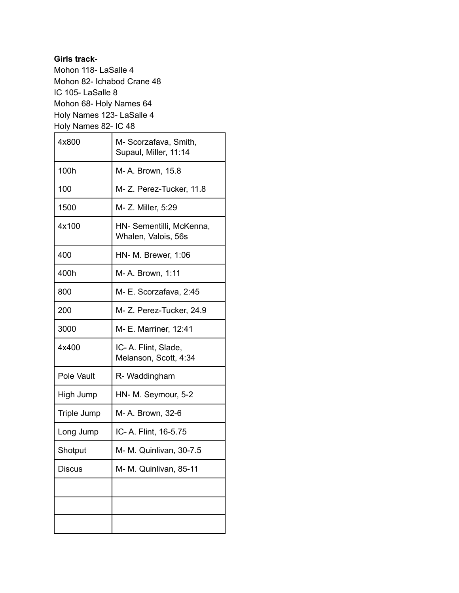## **Girls track**-

Mohon 118- LaSalle 4 Mohon 82- Ichabod Crane 48 IC 105- LaSalle 8 Mohon 68- Holy Names 64 Holy Names 123- LaSalle 4 Holy Names 82- IC 48

| 4x800         | M- Scorzafava, Smith,<br>Supaul, Miller, 11:14  |
|---------------|-------------------------------------------------|
| 100h          | M-A. Brown, 15.8                                |
| 100           | M-Z. Perez-Tucker, 11.8                         |
| 1500          | M- Z. Miller, 5:29                              |
| 4x100         | HN- Sementilli, McKenna,<br>Whalen, Valois, 56s |
| 400           | HN- M. Brewer, 1:06                             |
| 400h          | M- A. Brown, 1:11                               |
| 800           | M- E. Scorzafava, 2:45                          |
| 200           | M-Z. Perez-Tucker, 24.9                         |
| 3000          | M- E. Marriner, 12:41                           |
| 4x400         | IC-A. Flint, Slade,<br>Melanson, Scott, 4:34    |
| Pole Vault    | R-Waddingham                                    |
| High Jump     | HN- M. Seymour, 5-2                             |
| Triple Jump   | M- A. Brown, 32-6                               |
| Long Jump     | IC- A. Flint, 16-5.75                           |
| Shotput       | M- M. Quinlivan, 30-7.5                         |
| <b>Discus</b> | M- M. Quinlivan, 85-11                          |
|               |                                                 |
|               |                                                 |
|               |                                                 |